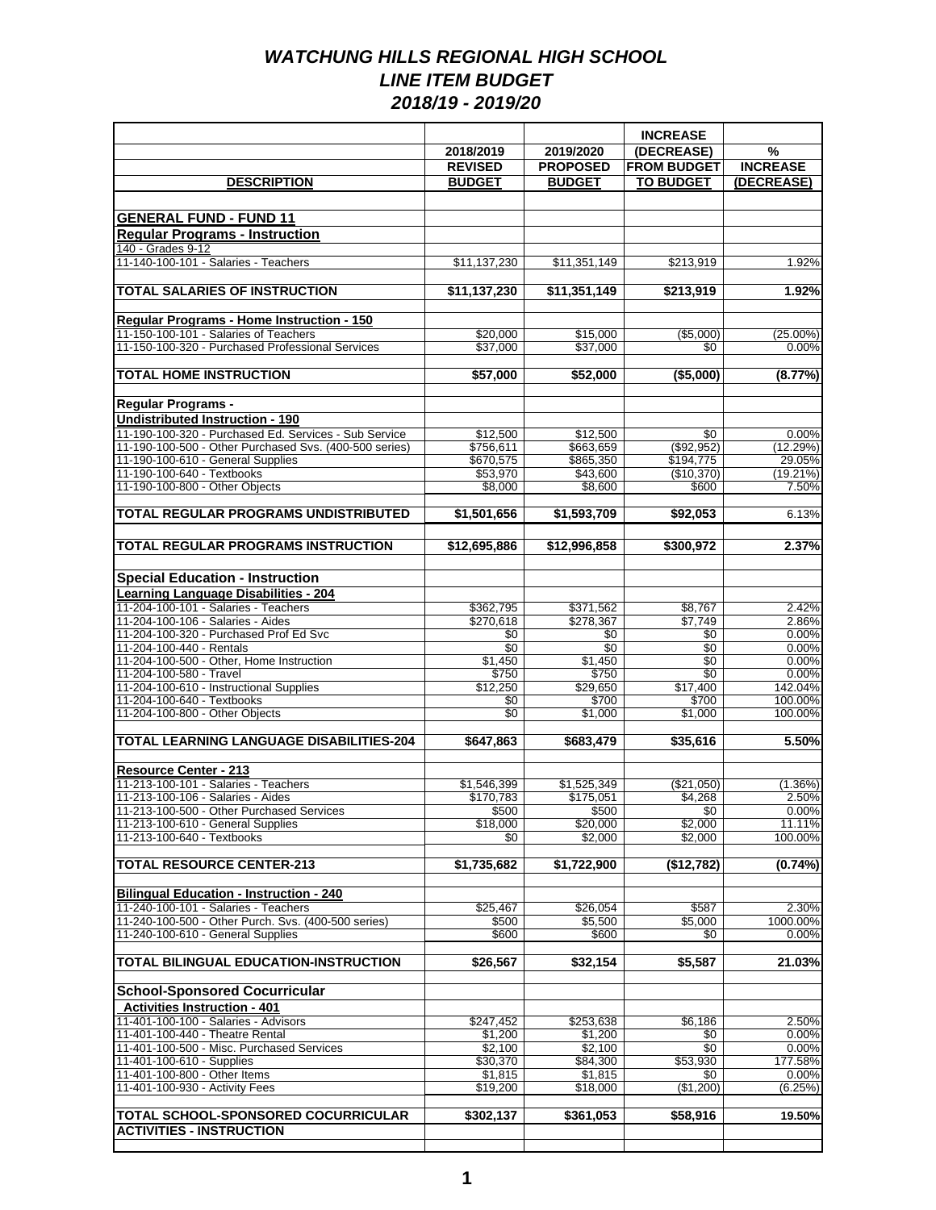|                                                                                           |                      |                      | <b>INCREASE</b>        |                      |
|-------------------------------------------------------------------------------------------|----------------------|----------------------|------------------------|----------------------|
|                                                                                           | 2018/2019            | 2019/2020            | (DECREASE)             | %                    |
|                                                                                           | <b>REVISED</b>       | <b>PROPOSED</b>      | <b>FROM BUDGET</b>     | <b>INCREASE</b>      |
| <b>DESCRIPTION</b>                                                                        | <b>BUDGET</b>        | <b>BUDGET</b>        | <b>TO BUDGET</b>       | (DECREASE)           |
|                                                                                           |                      |                      |                        |                      |
| <b>GENERAL FUND - FUND 11</b>                                                             |                      |                      |                        |                      |
| <b>Regular Programs - Instruction</b>                                                     |                      |                      |                        |                      |
| 140 - Grades 9-12                                                                         |                      |                      |                        |                      |
| 11-140-100-101 - Salaries - Teachers                                                      | \$11,137,230         | \$11,351,149         | \$213,919              | 1.92%                |
|                                                                                           |                      |                      |                        |                      |
| <b>TOTAL SALARIES OF INSTRUCTION</b>                                                      | \$11,137,230         | \$11.351.149         | $\overline{$213,919}$  | 1.92%                |
|                                                                                           |                      |                      |                        |                      |
| Regular Programs - Home Instruction - 150                                                 |                      |                      |                        |                      |
| 11-150-100-101 - Salaries of Teachers<br>11-150-100-320 - Purchased Professional Services | \$20,000<br>\$37,000 | \$15,000<br>\$37,000 | ( \$5.000)<br>\$0      | $(25.00\%)$<br>0.00% |
|                                                                                           |                      |                      |                        |                      |
| <b>TOTAL HOME INSTRUCTION</b>                                                             | \$57,000             | \$52,000             | ( \$5,000)             | (8.77%)              |
|                                                                                           |                      |                      |                        |                      |
| Regular Programs -                                                                        |                      |                      |                        |                      |
| <b>Undistributed Instruction - 190</b>                                                    |                      |                      |                        |                      |
| 11-190-100-320 - Purchased Ed. Services - Sub Service                                     | \$12,500             | \$12,500             | \$0                    | 0.00%                |
| 11-190-100-500 - Other Purchased Svs. (400-500 series)                                    | \$756,611            | \$663,659            | (\$92.952)             | (12.29%)             |
| 11-190-100-610 - General Supplies                                                         | \$670,575            | \$865,350            | \$194,775              | 29.05%               |
| 11-190-100-640 - Textbooks<br>11-190-100-800 - Other Objects                              | \$53,970<br>\$8,000  | \$43,600<br>\$8,600  | (\$10,370)<br>\$600    | $(19.21\%)$<br>7.50% |
|                                                                                           |                      |                      |                        |                      |
| TOTAL REGULAR PROGRAMS UNDISTRIBUTED                                                      | \$1,501,656          | \$1,593,709          | \$92,053               | 6.13%                |
|                                                                                           |                      |                      |                        |                      |
| <b>TOTAL REGULAR PROGRAMS INSTRUCTION</b>                                                 | \$12,695,886         | \$12,996,858         | \$300.972              | 2.37%                |
|                                                                                           |                      |                      |                        |                      |
| <b>Special Education - Instruction</b>                                                    |                      |                      |                        |                      |
| <b>Learning Language Disabilities - 204</b>                                               |                      |                      |                        |                      |
| 11-204-100-101 - Salaries - Teachers                                                      | \$362,795            | \$371,562            | \$8,767                | 2.42%                |
| 11-204-100-106 - Salaries - Aides                                                         | \$270,618            | \$278,367            | \$7,749                | 2.86%                |
| 11-204-100-320 - Purchased Prof Ed Svc                                                    | \$0                  | \$0                  | \$0                    | 0.00%                |
| 11-204-100-440 - Rentals                                                                  | \$0                  | \$0                  | $\overline{30}$        | 0.00%                |
| 11-204-100-500 - Other, Home Instruction<br>11-204-100-580 - Travel                       | \$1,450<br>\$750     | \$1,450<br>\$750     | $\overline{30}$<br>\$0 | 0.00%<br>0.00%       |
| 11-204-100-610 - Instructional Supplies                                                   | \$12,250             | \$29,650             | \$17,400               | 142.04%              |
| 11-204-100-640 - Textbooks                                                                | \$0                  | \$700                | \$700                  | 100.00%              |
| 11-204-100-800 - Other Objects                                                            | $\overline{30}$      | \$1,000              | \$1,000                | 100.00%              |
|                                                                                           |                      |                      |                        |                      |
| <b>TOTAL LEARNING LANGUAGE DISABILITIES-204</b>                                           | \$647,863            | \$683,479            | \$35,616               | 5.50%                |
| Resource Center - 213                                                                     |                      |                      |                        |                      |
| 11-213-100-101 - Salaries - Teachers                                                      | \$1,546,399          | \$1,525,349          | (\$21,050)             | $(1.36\%)$           |
| 11-213-100-106 - Salaries - Aides                                                         | \$170,783            | \$175,051            | \$4,268                | 2.50%                |
| 11-213-100-500 - Other Purchased Services                                                 | \$500                | \$500                | \$0                    | 0.00%                |
| 11-213-100-610 - General Supplies                                                         | \$18,000             | \$20,000             | \$2,000                | 11.11%               |
| 11-213-100-640 - Textbooks                                                                | \$0                  | \$2,000              | \$2,000                | 100.00%              |
|                                                                                           |                      |                      |                        |                      |
| <b>TOTAL RESOURCE CENTER-213</b>                                                          | \$1,735,682          | \$1,722,900          | (\$12,782)             | (0.74%)              |
| <b>Bilingual Education - Instruction - 240</b>                                            |                      |                      |                        |                      |
| 11-240-100-101 - Salaries - Teachers                                                      | \$25,467             | \$26,054             | \$587                  | 2.30%                |
| 11-240-100-500 - Other Purch. Svs. (400-500 series)                                       | \$500                | \$5,500              | \$5,000                | 1000.00%             |
| 11-240-100-610 - General Supplies                                                         | \$600                | \$600                | \$0                    | 0.00%                |
|                                                                                           |                      |                      |                        |                      |
| <b>TOTAL BILINGUAL EDUCATION-INSTRUCTION</b>                                              | \$26.567             | \$32,154             | \$5,587                | 21.03%               |
|                                                                                           |                      |                      |                        |                      |
| <b>School-Sponsored Cocurricular</b>                                                      |                      |                      |                        |                      |
| <b>Activities Instruction - 401</b>                                                       |                      |                      |                        |                      |
| 11-401-100-100 - Salaries - Advisors<br>11-401-100-440 - Theatre Rental                   | \$247,452            | \$253,638            | \$6,186                | 2.50%                |
| 11-401-100-500 - Misc. Purchased Services                                                 | \$1,200<br>\$2,100   | \$1,200<br>\$2,100   | \$0<br>\$0             | 0.00%<br>0.00%       |
| 11-401-100-610 - Supplies                                                                 | \$30,370             | \$84,300             | \$53,930               | 177.58%              |
| 11-401-100-800 - Other Items                                                              | \$1,815              | \$1,815              | \$0                    | 0.00%                |
| 11-401-100-930 - Activity Fees                                                            | \$19,200             | \$18,000             | (\$1,200)              | (6.25%)              |
|                                                                                           |                      |                      |                        |                      |
| <b>TOTAL SCHOOL-SPONSORED COCURRICULAR</b>                                                | \$302,137            | \$361,053            | \$58,916               | 19.50%               |
| <b>ACTIVITIES - INSTRUCTION</b>                                                           |                      |                      |                        |                      |
|                                                                                           |                      |                      |                        |                      |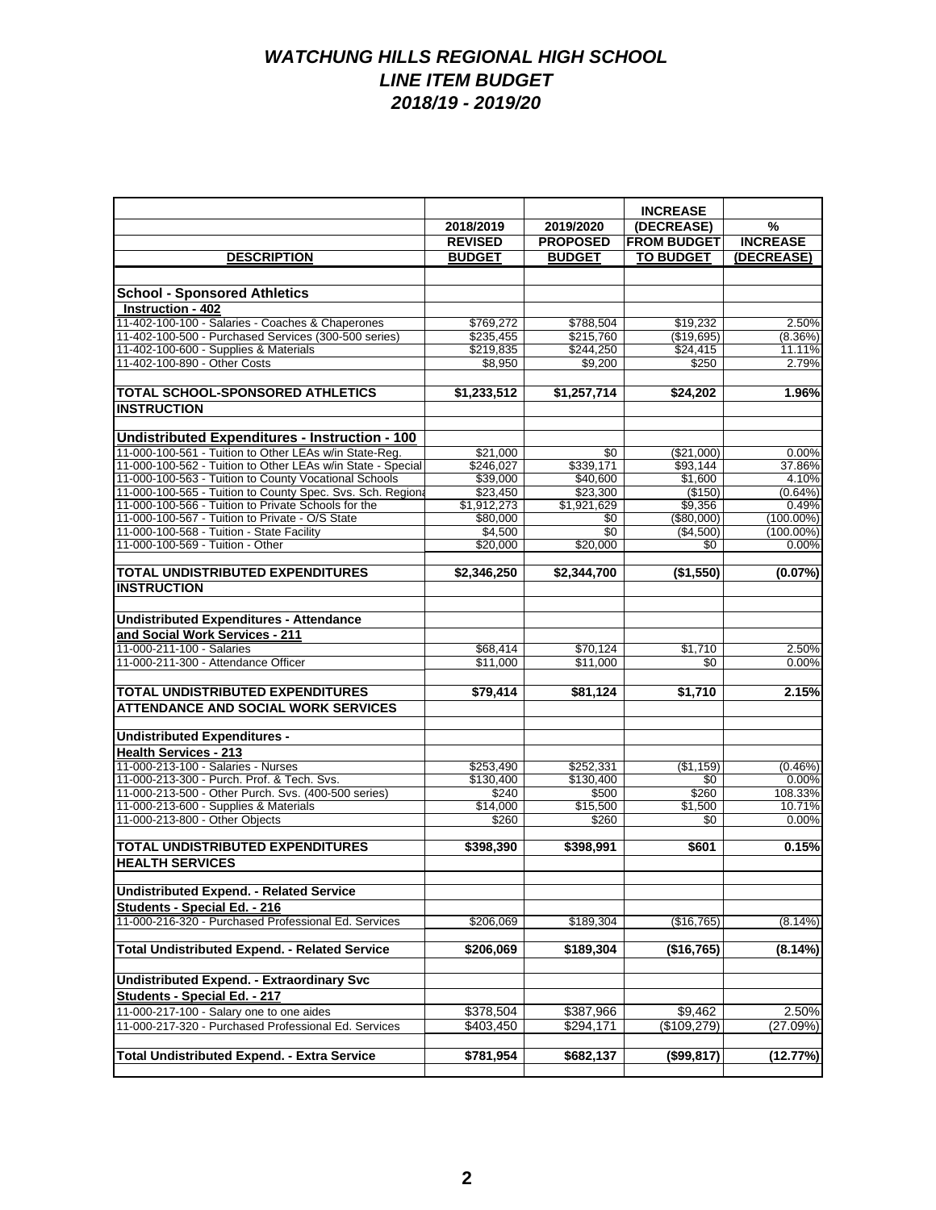|                                                                                                                     | 2018/2019                           | 2019/2020               | <b>INCREASE</b><br>(DECREASE) | %                   |
|---------------------------------------------------------------------------------------------------------------------|-------------------------------------|-------------------------|-------------------------------|---------------------|
|                                                                                                                     | <b>REVISED</b>                      | <b>PROPOSED</b>         | <b>FROM BUDGET</b>            | <b>INCREASE</b>     |
| <b>DESCRIPTION</b>                                                                                                  | <b>BUDGET</b>                       | <b>BUDGET</b>           | <b>TO BUDGET</b>              | (DECREASE)          |
|                                                                                                                     |                                     |                         |                               |                     |
|                                                                                                                     |                                     |                         |                               |                     |
| <b>School - Sponsored Athletics</b><br>Instruction - 402                                                            |                                     |                         |                               |                     |
| 11-402-100-100 - Salaries - Coaches & Chaperones                                                                    |                                     |                         |                               |                     |
| 11-402-100-500 - Purchased Services (300-500 series)                                                                | \$769,272<br>\$235,455              | \$788,504<br>\$215,760  | \$19,232<br>(\$19,695)        | 2.50%<br>$(8.36\%)$ |
| 11-402-100-600 - Supplies & Materials                                                                               | \$219,835                           | \$244,250               | \$24,415                      | 11.11%              |
| 11-402-100-890 - Other Costs                                                                                        | \$8,950                             | \$9.200                 | \$250                         | 2.79%               |
|                                                                                                                     |                                     |                         |                               |                     |
| <b>TOTAL SCHOOL-SPONSORED ATHLETICS</b>                                                                             | \$1,233,512                         | \$1,257,714             | \$24,202                      | 1.96%               |
| <b>INSTRUCTION</b>                                                                                                  |                                     |                         |                               |                     |
|                                                                                                                     |                                     |                         |                               |                     |
| <b>Undistributed Expenditures - Instruction - 100</b>                                                               |                                     |                         |                               |                     |
| 11-000-100-561 - Tuition to Other LEAs w/in State-Reg.                                                              | \$21,000                            | \$0                     | (\$21,000)                    | 0.00%               |
| 11-000-100-562 - Tuition to Other LEAs w/in State - Special                                                         | \$246,027                           | \$339,171               | \$93,144                      | 37.86%              |
| 11-000-100-563 - Tuition to County Vocational Schools<br>11-000-100-565 - Tuition to County Spec. Svs. Sch. Regiona | \$39,000                            | \$40,600                | \$1,600                       | 4.10%               |
| 11-000-100-566 - Tuition to Private Schools for the                                                                 | \$23,450<br>$\overline{51,912,273}$ | \$23,300<br>\$1,921,629 | (\$150)<br>\$9,356            | (0.64%)<br>0.49%    |
| 11-000-100-567 - Tuition to Private - O/S State                                                                     | \$80,000                            | \$0                     | (\$80,000)                    | $(100.00\%)$        |
| 11-000-100-568 - Tuition - State Facility                                                                           | \$4,500                             | \$0                     | (\$4,500)                     | $(100.00\%)$        |
| 11-000-100-569 - Tuition - Other                                                                                    | \$20,000                            | \$20,000                | \$0                           | 0.00%               |
|                                                                                                                     |                                     |                         |                               |                     |
| <b>TOTAL UNDISTRIBUTED EXPENDITURES</b>                                                                             | \$2,346,250                         | \$2,344,700             | (\$1,550)                     | (0.07%)             |
| <b>INSTRUCTION</b>                                                                                                  |                                     |                         |                               |                     |
|                                                                                                                     |                                     |                         |                               |                     |
| <b>Undistributed Expenditures - Attendance</b>                                                                      |                                     |                         |                               |                     |
| and Social Work Services - 211                                                                                      |                                     |                         |                               |                     |
| 11-000-211-100 - Salaries                                                                                           | \$68,414                            | \$70,124                | \$1,710                       | 2.50%               |
| 11-000-211-300 - Attendance Officer                                                                                 | \$11,000                            | \$11,000                | \$0                           | 0.00%               |
| <b>TOTAL UNDISTRIBUTED EXPENDITURES</b>                                                                             | \$79,414                            | \$81,124                | \$1,710                       | 2.15%               |
| <b>ATTENDANCE AND SOCIAL WORK SERVICES</b>                                                                          |                                     |                         |                               |                     |
|                                                                                                                     |                                     |                         |                               |                     |
| <b>Undistributed Expenditures -</b>                                                                                 |                                     |                         |                               |                     |
| <b>Health Services - 213</b>                                                                                        |                                     |                         |                               |                     |
| 11-000-213-100 - Salaries - Nurses                                                                                  | \$253,490                           | \$252,331               | (\$1,159)                     | (0.46%)             |
| 11-000-213-300 - Purch. Prof. & Tech. Svs.                                                                          | \$130,400                           | \$130,400               | \$0                           | 0.00%               |
| 11-000-213-500 - Other Purch. Svs. (400-500 series)                                                                 | \$240                               | \$500                   | \$260                         | 108.33%             |
| 11-000-213-600 - Supplies & Materials                                                                               | \$14,000                            | \$15,500                | \$1,500                       | 10.71%              |
| 11-000-213-800 - Other Objects                                                                                      | \$260                               | \$260                   | \$0                           | 0.00%               |
| <b>TOTAL UNDISTRIBUTED EXPENDITURES</b>                                                                             | \$398,390                           | \$398,991               | \$601                         | 0.15%               |
| <b>HEALTH SERVICES</b>                                                                                              |                                     |                         |                               |                     |
|                                                                                                                     |                                     |                         |                               |                     |
| <b>Undistributed Expend. - Related Service</b>                                                                      |                                     |                         |                               |                     |
| Students - Special Ed. - 216                                                                                        |                                     |                         |                               |                     |
| 11-000-216-320 - Purchased Professional Ed. Services                                                                | \$206,069                           | \$189,304               | (\$16,765)                    | (8.14%)             |
|                                                                                                                     |                                     |                         |                               |                     |
| <b>Total Undistributed Expend. - Related Service</b>                                                                | \$206,069                           | \$189,304               | (\$16,765)                    | (8.14%)             |
| <b>Undistributed Expend. - Extraordinary Svc</b>                                                                    |                                     |                         |                               |                     |
| Students - Special Ed. - 217                                                                                        |                                     |                         |                               |                     |
| 11-000-217-100 - Salary one to one aides                                                                            | \$378,504                           | \$387,966               | \$9,462                       | 2.50%               |
| 11-000-217-320 - Purchased Professional Ed. Services                                                                | \$403,450                           | \$294,171               | (\$109,279)                   | (27.09%)            |
|                                                                                                                     |                                     |                         |                               |                     |
| <b>Total Undistributed Expend. - Extra Service</b>                                                                  | \$781,954                           | \$682,137               | (\$99,817)                    | (12.77%)            |
|                                                                                                                     |                                     |                         |                               |                     |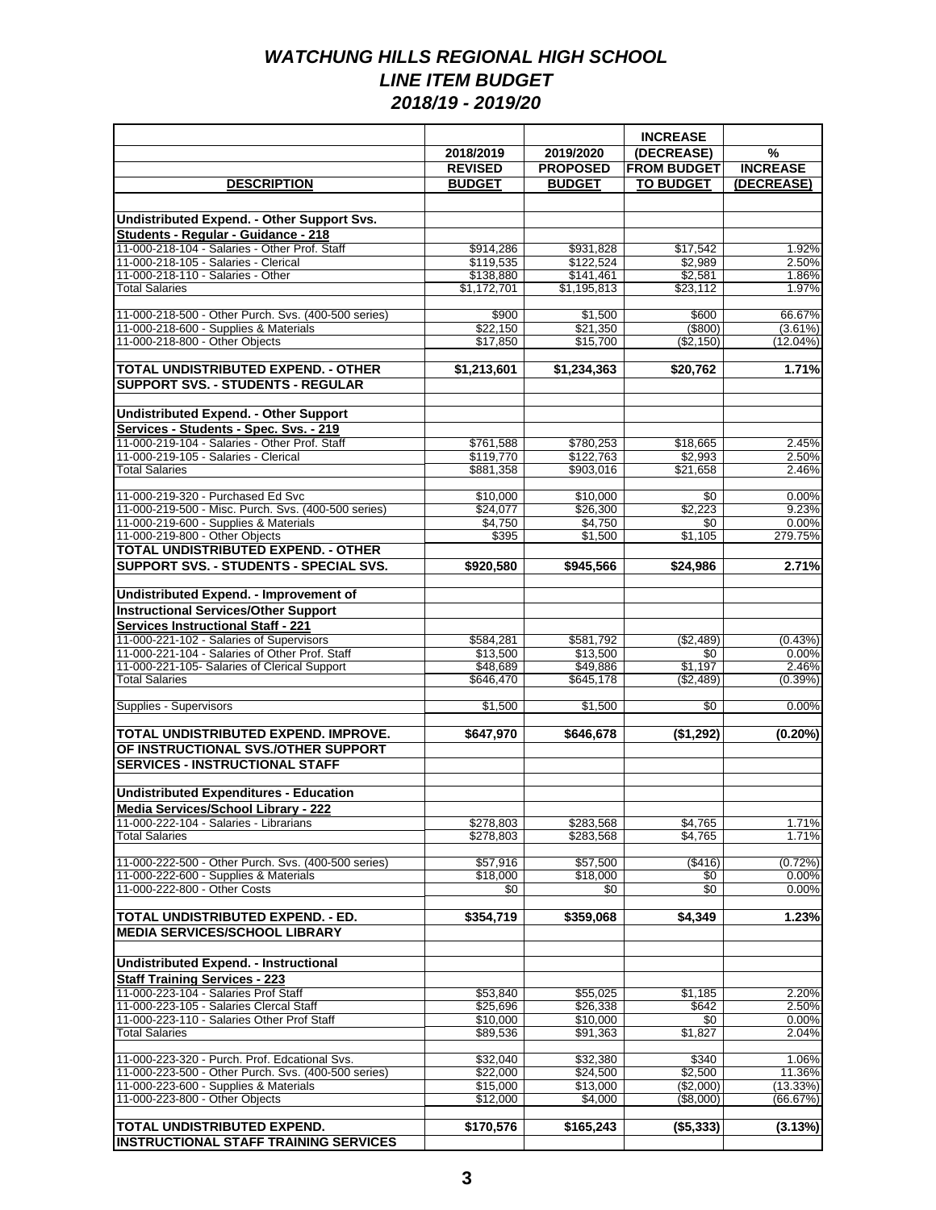|                                                                                         |                          |                          | <b>INCREASE</b>      |                  |
|-----------------------------------------------------------------------------------------|--------------------------|--------------------------|----------------------|------------------|
|                                                                                         | 2018/2019                | 2019/2020                | (DECREASE)           | $\%$             |
|                                                                                         | <b>REVISED</b>           | <b>PROPOSED</b>          | <b>FROM BUDGET</b>   | <b>INCREASE</b>  |
| <b>DESCRIPTION</b>                                                                      | <b>BUDGET</b>            | <b>BUDGET</b>            | <b>TO BUDGET</b>     | (DECREASE)       |
|                                                                                         |                          |                          |                      |                  |
| Undistributed Expend. - Other Support Svs.                                              |                          |                          |                      |                  |
| Students - Regular - Guidance - 218                                                     |                          |                          |                      |                  |
| 11-000-218-104 - Salaries - Other Prof. Staff                                           | \$914,286                | \$931,828                | \$17,542             | 1.92%            |
| 11-000-218-105 - Salaries - Clerical<br>11-000-218-110 - Salaries - Other               | \$119,535                | \$122,524                | \$2,989              | 2.50%<br>1.86%   |
| <b>Total Salaries</b>                                                                   | \$138,880<br>\$1,172,701 | \$141,461<br>\$1,195,813 | \$2,581<br>\$23,112  | 1.97%            |
|                                                                                         |                          |                          |                      |                  |
| 11-000-218-500 - Other Purch. Svs. (400-500 series)                                     | \$900                    | \$1,500                  | \$600                | 66.67%           |
| 11-000-218-600 - Supplies & Materials                                                   | \$22,150                 | \$21,350                 | $($ \$800)           | $(3.61\%)$       |
| 11-000-218-800 - Other Objects                                                          | \$17,850                 | \$15,700                 | (\$2,150)            | $(12.04\%)$      |
| TOTAL UNDISTRIBUTED EXPEND. - OTHER                                                     |                          |                          | $\overline{$20,762}$ | 1.71%            |
| <b>SUPPORT SVS. - STUDENTS - REGULAR</b>                                                | \$1,213,601              | \$1,234,363              |                      |                  |
|                                                                                         |                          |                          |                      |                  |
| <b>Undistributed Expend. - Other Support</b>                                            |                          |                          |                      |                  |
|                                                                                         |                          |                          |                      |                  |
| Services - Students - Spec. Svs. - 219<br>11-000-219-104 - Salaries - Other Prof. Staff | \$761,588                | \$780.253                | \$18,665             | 2.45%            |
| 11-000-219-105 - Salaries - Clerical                                                    | \$119,770                | \$122,763                | \$2,993              | 2.50%            |
| <b>Total Salaries</b>                                                                   | \$881,358                | \$903,016                | \$21,658             | 2.46%            |
|                                                                                         |                          |                          |                      |                  |
| 11-000-219-320 - Purchased Ed Svc                                                       | \$10,000                 | \$10,000                 | \$0                  | 0.00%            |
| 11-000-219-500 - Misc. Purch. Svs. (400-500 series)                                     | \$24.077                 | \$26,300<br>\$4.750      | \$2,223              | 9.23%            |
| 11-000-219-600 - Supplies & Materials<br>11-000-219-800 - Other Objects                 | \$4,750<br>\$395         | \$1,500                  | \$0<br>\$1,105       | 0.00%<br>279.75% |
| TOTAL UNDISTRIBUTED EXPEND. - OTHER                                                     |                          |                          |                      |                  |
| SUPPORT SVS. - STUDENTS - SPECIAL SVS.                                                  | \$920,580                | \$945,566                | \$24.986             | 2.71%            |
|                                                                                         |                          |                          |                      |                  |
| Undistributed Expend. - Improvement of                                                  |                          |                          |                      |                  |
| <b>Instructional Services/Other Support</b>                                             |                          |                          |                      |                  |
| <b>Services Instructional Staff - 221</b>                                               |                          |                          |                      |                  |
| 11-000-221-102 - Salaries of Supervisors                                                | \$584,281                | \$581,792                | (\$2,489)            | (0.43%)          |
| 11-000-221-104 - Salaries of Other Prof. Staff                                          | \$13,500                 | \$13,500                 | \$0                  | 0.00%            |
| 11-000-221-105- Salaries of Clerical Support                                            | \$48,689                 | \$49,886                 | \$1,197              | 2.46%            |
| <b>Total Salaries</b>                                                                   | \$646,470                | \$645,178                | ( \$2,489)           | $(0.39\%)$       |
| Supplies - Supervisors                                                                  | \$1,500                  | \$1,500                  | \$0                  | 0.00%            |
|                                                                                         |                          |                          |                      |                  |
| TOTAL UNDISTRIBUTED EXPEND. IMPROVE.                                                    | \$647,970                | \$646,678                | (\$1,292)            | $(0.20\%)$       |
| OF INSTRUCTIONAL SVS./OTHER SUPPORT                                                     |                          |                          |                      |                  |
| <b>SERVICES - INSTRUCTIONAL STAFF</b>                                                   |                          |                          |                      |                  |
|                                                                                         |                          |                          |                      |                  |
| <b>Undistributed Expenditures - Education</b>                                           |                          |                          |                      |                  |
| Media Services/School Library - 222                                                     |                          |                          |                      |                  |
| 11-000-222-104 - Salaries - Librarians                                                  | \$278,803                | \$283,568                | \$4,765              | 1.71%            |
| <b>Total Salaries</b>                                                                   | \$278,803                | \$283,568                | \$4,765              | 1.71%            |
| 11-000-222-500 - Other Purch. Svs. (400-500 series)                                     | \$57,916                 | \$57,500                 | (\$416)              | (0.72%)          |
| 11-000-222-600 - Supplies & Materials                                                   | \$18,000                 | \$18,000                 | \$0                  | 0.00%            |
| 11-000-222-800 - Other Costs                                                            | \$0                      | \$0                      | \$0                  | 0.00%            |
|                                                                                         |                          |                          |                      |                  |
| TOTAL UNDISTRIBUTED EXPEND. - ED.                                                       | \$354,719                | \$359,068                | \$4,349              | 1.23%            |
| <b>MEDIA SERVICES/SCHOOL LIBRARY</b>                                                    |                          |                          |                      |                  |
|                                                                                         |                          |                          |                      |                  |
| Undistributed Expend. - Instructional                                                   |                          |                          |                      |                  |
| Staff Training Services - 223<br>11-000-223-104 - Salaries Prof Staff                   |                          |                          |                      |                  |
|                                                                                         | \$53.840                 | \$55,025                 | \$1,185              | 2.20%            |
| 11-000-223-105 - Salaries Clercal Staff                                                 | \$25,696                 | \$26,338                 | \$642                | 2.50%            |
| 11-000-223-110 - Salaries Other Prof Staff<br><b>Total Salaries</b>                     | \$10,000<br>\$89,536     | \$10,000<br>\$91,363     | \$0<br>\$1,827       | 0.00%<br>2.04%   |
|                                                                                         |                          |                          |                      |                  |
| 11-000-223-320 - Purch. Prof. Edcational Svs.                                           | \$32,040                 | \$32,380                 | \$340                | 1.06%            |
| 11-000-223-500 - Other Purch. Svs. (400-500 series)                                     | \$22,000                 | \$24,500                 | \$2,500              | 11.36%           |
| 11-000-223-600 - Supplies & Materials                                                   | \$15,000                 | \$13,000                 | (\$2,000)            | (13.33%)         |
| 11-000-223-800 - Other Objects                                                          | \$12,000                 | \$4,000                  | (\$8,000)            | (66.67%)         |
| TOTAL UNDISTRIBUTED EXPEND.                                                             | \$170,576                | \$165,243                |                      | (3.13%)          |
|                                                                                         |                          |                          | (\$5,333)            |                  |
| <b>INSTRUCTIONAL STAFF TRAINING SERVICES</b>                                            |                          |                          |                      |                  |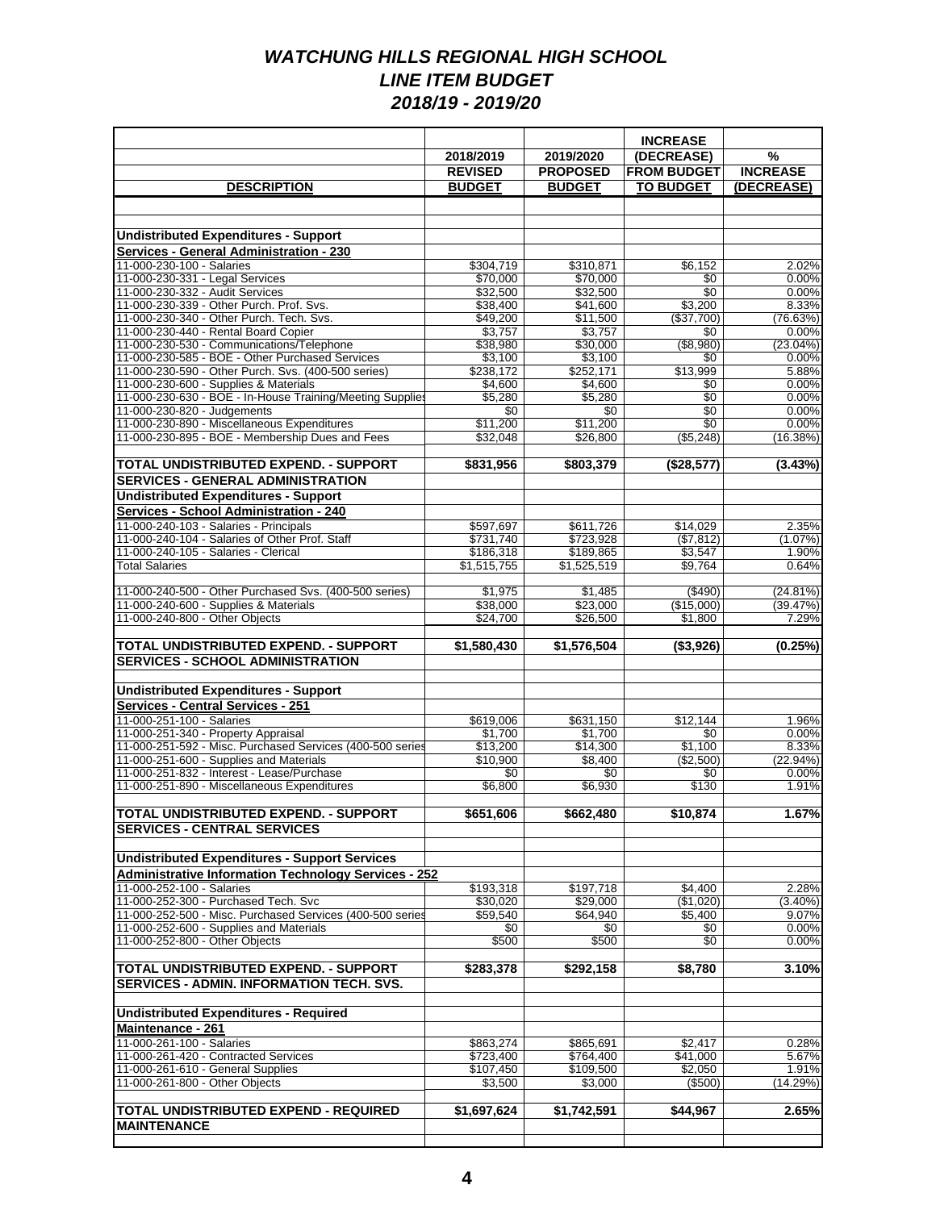|                                                                                                      |                        |                        | <b>INCREASE</b>        |                      |
|------------------------------------------------------------------------------------------------------|------------------------|------------------------|------------------------|----------------------|
|                                                                                                      | 2018/2019              | 2019/2020              | (DECREASE)             | $\%$                 |
|                                                                                                      | <b>REVISED</b>         | <b>PROPOSED</b>        | <b>FROM BUDGET</b>     | <b>INCREASE</b>      |
| <b>DESCRIPTION</b>                                                                                   | <b>BUDGET</b>          | <b>BUDGET</b>          | <b>TO BUDGET</b>       | (DECREASE)           |
|                                                                                                      |                        |                        |                        |                      |
|                                                                                                      |                        |                        |                        |                      |
| <b>Undistributed Expenditures - Support</b><br>Services - General Administration - 230               |                        |                        |                        |                      |
| 11-000-230-100 - Salaries                                                                            | \$304,719              | \$310,871              | \$6,152                | 2.02%                |
| 11-000-230-331 - Legal Services                                                                      | \$70,000               | \$70.000               | \$0                    | 0.00%                |
| 11-000-230-332 - Audit Services                                                                      | \$32,500               | \$32,500               | $\overline{30}$        | 0.00%                |
| 11-000-230-339 - Other Purch. Prof. Svs.                                                             | \$38,400               | \$41,600               | \$3,200                | 8.33%                |
| 11-000-230-340 - Other Purch. Tech. Svs.                                                             | \$49,200               | \$11,500               | (\$37,700)             | (76.63%)             |
| 11-000-230-440 - Rental Board Copier<br>11-000-230-530 - Communications/Telephone                    | \$3,757<br>\$38,980    | \$3,757<br>\$30,000    | \$0<br>( \$8, 980)     | 0.00%<br>$(23.04\%)$ |
| 11-000-230-585 - BOE - Other Purchased Services                                                      | \$3,100                | \$3,100                | \$0                    | 0.00%                |
| 11-000-230-590 - Other Purch. Svs. (400-500 series)                                                  | \$238,172              | \$252,171              | \$13,999               | 5.88%                |
| 11-000-230-600 - Supplies & Materials                                                                | \$4,600                | \$4,600                | \$0                    | 0.00%                |
| 11-000-230-630 - BOE - In-House Training/Meeting Supplies                                            | \$5,280                | \$5,280                | \$0                    | 0.00%                |
| 11-000-230-820 - Judgements<br>11-000-230-890 - Miscellaneous Expenditures                           | \$0<br>\$11,200        | \$0<br>\$11,200        | $\overline{50}$<br>\$0 | 0.00%<br>0.00%       |
| 11-000-230-895 - BOE - Membership Dues and Fees                                                      | \$32,048               | \$26.800               | ( \$5,248)             | (16.38%)             |
|                                                                                                      |                        |                        |                        |                      |
| TOTAL UNDISTRIBUTED EXPEND. - SUPPORT                                                                | \$831,956              | \$803,379              | (\$28,577)             | (3.43%)              |
| <b>SERVICES - GENERAL ADMINISTRATION</b>                                                             |                        |                        |                        |                      |
| <b>Undistributed Expenditures - Support</b>                                                          |                        |                        |                        |                      |
| Services - School Administration - 240                                                               |                        |                        |                        |                      |
| 11-000-240-103 - Salaries - Principals                                                               | \$597,697              | \$611,726              | \$14,029               | 2.35%                |
| 11-000-240-104 - Salaries of Other Prof. Staff<br>11-000-240-105 - Salaries - Clerical               | \$731,740<br>\$186,318 | \$723,928<br>\$189,865 | ( \$7,812)<br>\$3,547  | $(1.07\%)$<br>1.90%  |
| <b>Total Salaries</b>                                                                                | \$1,515,755            | \$1,525,519            | \$9,764                | 0.64%                |
|                                                                                                      |                        |                        |                        |                      |
| 11-000-240-500 - Other Purchased Svs. (400-500 series)                                               | \$1,975                | \$1,485                | ( \$490)               | (24.81%)             |
| 11-000-240-600 - Supplies & Materials                                                                | \$38,000               | \$23,000               | (\$15,000)             | (39.47%)             |
| 11-000-240-800 - Other Objects                                                                       | \$24,700               | \$26,500               | \$1,800                | 7.29%                |
| TOTAL UNDISTRIBUTED EXPEND. - SUPPORT                                                                | \$1,580,430            | \$1,576,504            | (\$3,926)              | (0.25%)              |
| <b>SERVICES - SCHOOL ADMINISTRATION</b>                                                              |                        |                        |                        |                      |
|                                                                                                      |                        |                        |                        |                      |
| <b>Undistributed Expenditures - Support</b>                                                          |                        |                        |                        |                      |
| <b>Services - Central Services - 251</b>                                                             |                        |                        |                        |                      |
| 11-000-251-100 - Salaries                                                                            | \$619.006              | \$631,150              | \$12.144               | 1.96%                |
| 11-000-251-340 - Property Appraisal                                                                  | \$1,700                | \$1,700                | \$0                    | 0.00%                |
| 11-000-251-592 - Misc. Purchased Services (400-500 series<br>11-000-251-600 - Supplies and Materials | \$13,200<br>\$10,900   | \$14.300<br>\$8,400    | \$1,100                | 8.33%<br>(22.94%)    |
| 11-000-251-832 - Interest - Lease/Purchase                                                           | \$0                    | \$0                    | (\$2,500)<br>\$0       | 0.00%                |
| 11-000-251-890 - Miscellaneous Expenditures                                                          | \$6,800                | \$6,930                | \$130                  | 1.91%                |
|                                                                                                      |                        |                        |                        |                      |
| <b>TOTAL UNDISTRIBUTED EXPEND. - SUPPORT</b>                                                         | \$651,606              | \$662,480              | \$10,874               | 1.67%                |
| <b>SERVICES - CENTRAL SERVICES</b>                                                                   |                        |                        |                        |                      |
|                                                                                                      |                        |                        |                        |                      |
| <b>Undistributed Expenditures - Support Services</b>                                                 |                        |                        |                        |                      |
| <b>Administrative Information Technology Services - 252</b>                                          |                        |                        |                        |                      |
| 11-000-252-100 - Salaries<br>11-000-252-300 - Purchased Tech. Svc                                    | \$193,318<br>\$30,020  | \$197,718<br>\$29,000  | \$4,400<br>(\$1,020)   | 2.28%<br>$(3.40\%)$  |
| 11-000-252-500 - Misc. Purchased Services (400-500 series                                            | \$59,540               | \$64,940               | \$5,400                | 9.07%                |
| 11-000-252-600 - Supplies and Materials                                                              | \$0                    | \$0                    | \$0                    | 0.00%                |
| 11-000-252-800 - Other Objects                                                                       | \$500                  | \$500                  | \$0                    | 0.00%                |
|                                                                                                      |                        |                        |                        |                      |
| <b>TOTAL UNDISTRIBUTED EXPEND. - SUPPORT</b>                                                         | \$283,378              | \$292,158              | \$8,780                | 3.10%                |
| <b>SERVICES - ADMIN. INFORMATION TECH. SVS.</b>                                                      |                        |                        |                        |                      |
| <b>Undistributed Expenditures - Required</b>                                                         |                        |                        |                        |                      |
| Maintenance - 261                                                                                    |                        |                        |                        |                      |
| 11-000-261-100 - Salaries                                                                            | \$863,274              | \$865,691              | \$2,417                | 0.28%                |
| 11-000-261-420 - Contracted Services                                                                 | \$723,400              | \$764,400              | \$41,000               | 5.67%                |
| 11-000-261-610 - General Supplies                                                                    | \$107,450              | \$109,500              | \$2,050                | 1.91%                |
| 11-000-261-800 - Other Objects                                                                       | \$3,500                | \$3,000                | (\$500)                | (14.29%)             |
| TOTAL UNDISTRIBUTED EXPEND - REQUIRED                                                                |                        |                        |                        |                      |
| <b>MAINTENANCE</b>                                                                                   | \$1,697,624            | \$1,742,591            | \$44,967               | 2.65%                |
|                                                                                                      |                        |                        |                        |                      |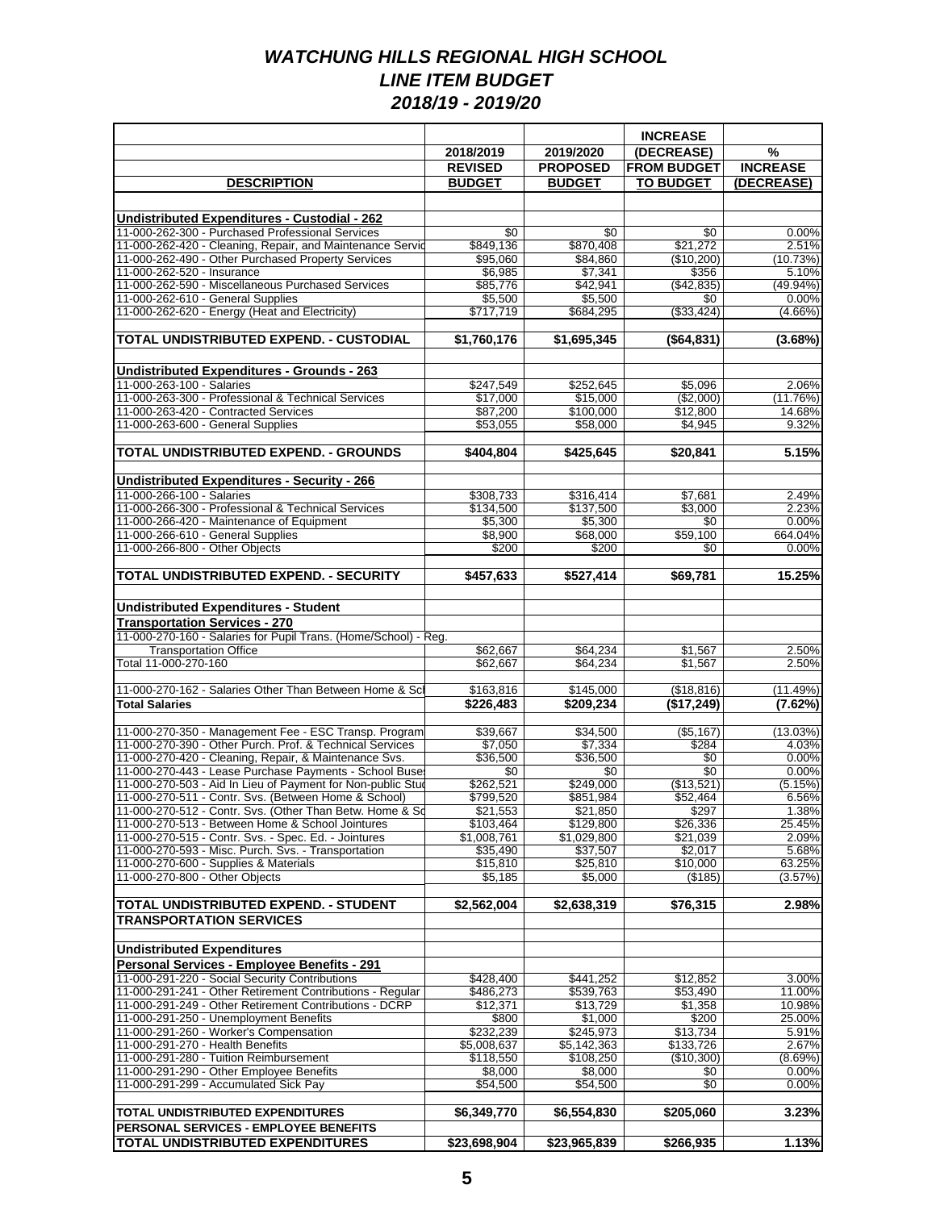|                                                                                                                   |                          |                          | <b>INCREASE</b>         |                     |
|-------------------------------------------------------------------------------------------------------------------|--------------------------|--------------------------|-------------------------|---------------------|
|                                                                                                                   | 2018/2019                | 2019/2020                | (DECREASE)              | %                   |
|                                                                                                                   | <b>REVISED</b>           | <b>PROPOSED</b>          | <b>FROM BUDGET</b>      | <b>INCREASE</b>     |
| <b>DESCRIPTION</b>                                                                                                | <b>BUDGET</b>            | <b>BUDGET</b>            | <b>TO BUDGET</b>        | (DECREASE)          |
|                                                                                                                   |                          |                          |                         |                     |
| <b>Undistributed Expenditures - Custodial - 262</b>                                                               |                          |                          |                         |                     |
| 11-000-262-300 - Purchased Professional Services<br>11-000-262-420 - Cleaning, Repair, and Maintenance Servic     | \$0<br>\$849,136         | \$0<br>\$870,408         | \$0<br>\$21,272         | 0.00%<br>2.51%      |
| 11-000-262-490 - Other Purchased Property Services                                                                | \$95,060                 | \$84,860                 | (\$10,200)              | (10.73%)            |
| 11-000-262-520 - Insurance                                                                                        | \$6,985                  | \$7,341                  | \$356                   | 5.10%               |
| 11-000-262-590 - Miscellaneous Purchased Services                                                                 | \$85,776                 | \$42.941                 | (\$42,835)              | $(49.94\%)$         |
| 11-000-262-610 - General Supplies<br>11-000-262-620 - Energy (Heat and Electricity)                               | \$5,500<br>\$717,719     | \$5,500<br>\$684,295     | \$0<br>( \$33,424)      | 0.00%<br>$(4.66\%)$ |
|                                                                                                                   |                          |                          |                         |                     |
| TOTAL UNDISTRIBUTED EXPEND. - CUSTODIAL                                                                           | \$1,760,176              | \$1,695,345              | (\$64,831)              | (3.68%)             |
|                                                                                                                   |                          |                          |                         |                     |
| Undistributed Expenditures - Grounds - 263<br>11-000-263-100 - Salaries                                           | \$247,549                | \$252,645                | \$5,096                 | 2.06%               |
| 11-000-263-300 - Professional & Technical Services                                                                | \$17,000                 | \$15,000                 | (\$2,000)               | (11.76%)            |
| 11-000-263-420 - Contracted Services                                                                              | \$87,200                 | \$100,000                | \$12,800                | 14.68%              |
| 11-000-263-600 - General Supplies                                                                                 | \$53,055                 | \$58,000                 | \$4,945                 | 9.32%               |
|                                                                                                                   |                          |                          |                         | 3.15%               |
| TOTAL UNDISTRIBUTED EXPEND. - GROUNDS                                                                             | \$404,804                | \$425,645                | \$20,841                |                     |
| Undistributed Expenditures - Security - 266<br>11-000-266-100 - Salaries                                          |                          |                          |                         |                     |
|                                                                                                                   | \$308,733                | \$316,414                | \$7,681                 | 2.49%               |
| 11-000-266-300 - Professional & Technical Services                                                                | \$134.500                | \$137,500                | \$3.000                 | 2.23%               |
| 11-000-266-420 - Maintenance of Equipment<br>11-000-266-610 - General Supplies                                    | \$5,300<br>\$8,900       | \$5,300<br>\$68,000      | \$0<br>\$59,100         | 0.00%<br>664.04%    |
| 11-000-266-800 - Other Objects                                                                                    | \$200                    | \$200                    | \$0                     | 0.00%               |
|                                                                                                                   |                          |                          |                         |                     |
| TOTAL UNDISTRIBUTED EXPEND. - SECURITY                                                                            | \$457,633                | \$527,414                | \$69,781                | 15.25%              |
| <b>Undistributed Expenditures - Student</b>                                                                       |                          |                          |                         |                     |
| <b>Transportation Services - 270</b>                                                                              |                          |                          |                         |                     |
| 11-000-270-160 - Salaries for Pupil Trans. (Home/School) - Reg.                                                   |                          |                          |                         |                     |
| <b>Transportation Office</b>                                                                                      | \$62,667                 | \$64,234                 | \$1,567                 | 2.50%               |
| Total 11-000-270-160                                                                                              | \$62,667                 | \$64,234                 | \$1,567                 | 2.50%               |
| 11-000-270-162 - Salaries Other Than Between Home & Scl                                                           | \$163,816                | \$145,000                | (\$18, 816)             | (11.49%)            |
| <b>Total Salaries</b>                                                                                             | \$226.483                | \$209.234                | (\$17,249)              | (7.62%)             |
|                                                                                                                   |                          |                          |                         |                     |
| 11-000-270-350 - Management Fee - ESC Transp. Program                                                             | \$39,667                 | \$34,500                 | $($ \$5.167)            | (13.03%)            |
| 11-000-270-390 - Other Purch. Prof. & Technical Services<br>11-000-270-420 - Cleaning, Repair, & Maintenance Svs. | \$7,050<br>\$36,500      | \$7,334<br>\$36,500      | \$284<br>$\sqrt[6]{30}$ | 4.03%<br>0.00%      |
| 11-000-270-443 - Lease Purchase Payments - School Buse                                                            | \$0                      | \$0                      | \$0                     | 0.00%               |
| 11-000-270-503 - Aid In Lieu of Payment for Non-public Stud                                                       | \$262,521                | \$249,000                | (\$13,521)              | (5.15%)             |
| 11-000-270-511 - Contr. Svs. (Between Home & School)                                                              | \$799,520                | \$851,984                | \$52,464                | 6.56%               |
| [11-000-270-512 - Contr. Svs. (Other Than Betw. Home & Sq<br>11-000-270-513 - Between Home & School Jointures     | \$21,553                 | \$21,850                 | \$297                   | 1.38%               |
| 11-000-270-515 - Contr. Svs. - Spec. Ed. - Jointures                                                              | \$103,464<br>\$1,008,761 | \$129,800<br>\$1,029,800 | \$26,336<br>\$21,039    | 25.45%<br>2.09%     |
| 11-000-270-593 - Misc. Purch. Svs. - Transportation                                                               | \$35,490                 | \$37,507                 | \$2,017                 | 5.68%               |
| 11-000-270-600 - Supplies & Materials                                                                             | \$15,810                 | \$25,810                 | \$10,000                | 63.25%              |
| 11-000-270-800 - Other Objects                                                                                    | \$5,185                  | \$5,000                  | (\$185)                 | (3.57%)             |
| TOTAL UNDISTRIBUTED EXPEND. - STUDENT                                                                             | \$2.562.004              | \$2,638,319              | \$76,315                | 2.98%               |
| <b>TRANSPORTATION SERVICES</b>                                                                                    |                          |                          |                         |                     |
|                                                                                                                   |                          |                          |                         |                     |
| <b>Undistributed Expenditures</b>                                                                                 |                          |                          |                         |                     |
| Personal Services - Employee Benefits - 291<br>11-000-291-220 - Social Security Contributions                     |                          |                          |                         |                     |
| 11-000-291-241 - Other Retirement Contributions - Regular                                                         | \$428,400<br>\$486,273   | \$441,252<br>\$539,763   | \$12,852<br>\$53,490    | 3.00%<br>11.00%     |
| 11-000-291-249 - Other Retirement Contributions - DCRP                                                            | \$12,371                 | \$13,729                 | \$1,358                 | 10.98%              |
| 11-000-291-250 - Unemployment Benefits                                                                            | \$800                    | \$1,000                  | \$200                   | 25.00%              |
| 11-000-291-260 - Worker's Compensation                                                                            | \$232,239                | \$245,973                | \$13,734                | 5.91%               |
| 11-000-291-270 - Health Benefits<br>11-000-291-280 - Tuition Reimbursement                                        | \$5,008,637<br>\$118,550 | \$5,142,363<br>\$108,250 | \$133,726<br>(\$10,300) | 2.67%<br>$(8.69\%)$ |
| 11-000-291-290 - Other Employee Benefits                                                                          | \$8,000                  | \$8,000                  | \$0                     | 0.00%               |
| 11-000-291-299 - Accumulated Sick Pay                                                                             | \$54,500                 | \$54,500                 | \$0                     | 0.00%               |
|                                                                                                                   |                          |                          |                         |                     |
| TOTAL UNDISTRIBUTED EXPENDITURES<br>PERSONAL SERVICES - EMPLOYEE BENEFITS                                         | \$6,349,770              | \$6,554,830              | \$205,060               | 3.23%               |
| <b>TOTAL UNDISTRIBUTED EXPENDITURES</b>                                                                           | \$23,698,904             | \$23,965,839             | \$266,935               | 1.13%               |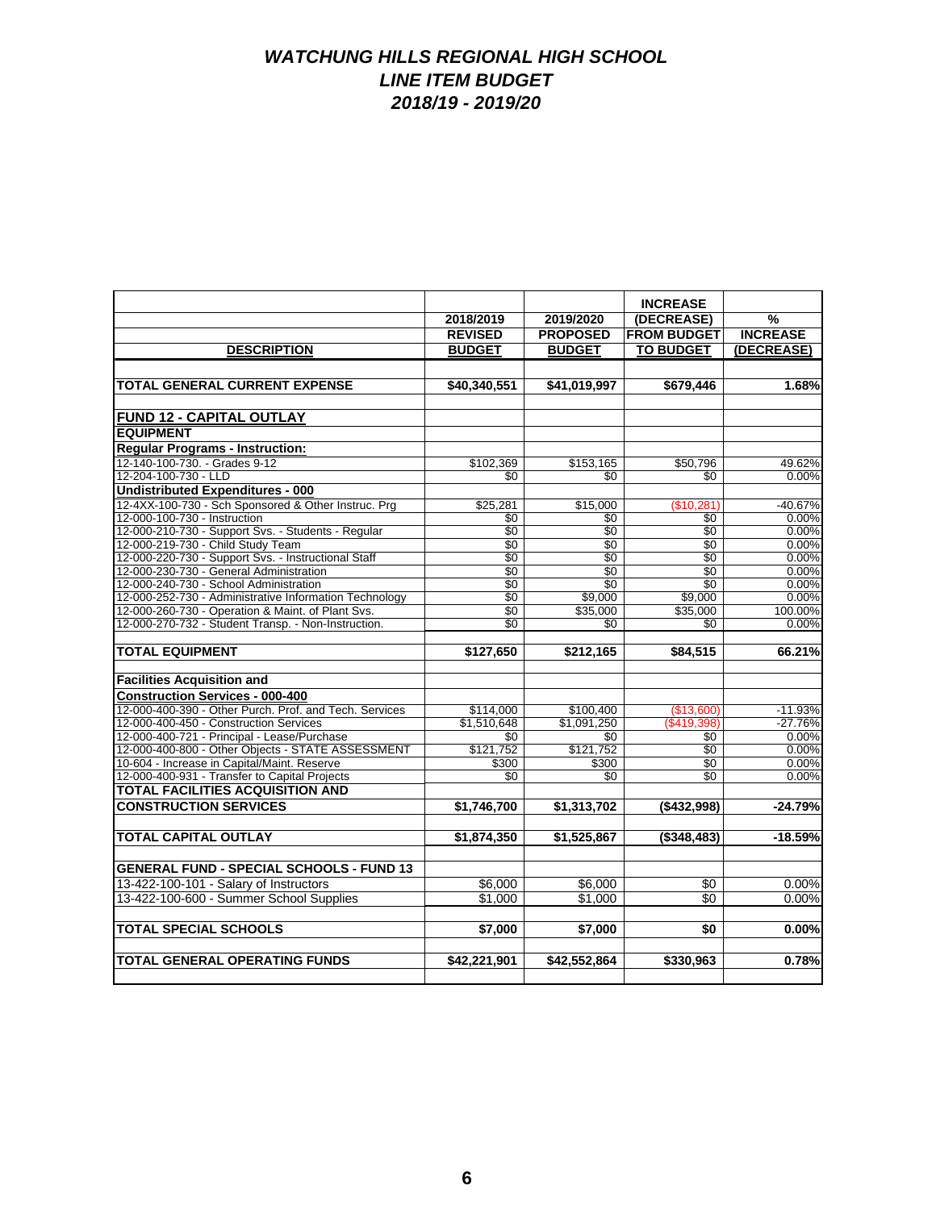|                                                        | 2018/2019       | 2019/2020       | <b>INCREASE</b><br>(DECREASE) | %               |
|--------------------------------------------------------|-----------------|-----------------|-------------------------------|-----------------|
|                                                        | <b>REVISED</b>  | <b>PROPOSED</b> | <b>FROM BUDGET</b>            | <b>INCREASE</b> |
| <b>DESCRIPTION</b>                                     | <b>BUDGET</b>   | <b>BUDGET</b>   | <b>TO BUDGET</b>              | (DECREASE)      |
|                                                        |                 |                 |                               |                 |
|                                                        |                 |                 |                               |                 |
| TOTAL GENERAL CURRENT EXPENSE                          | \$40,340,551    | \$41,019,997    | \$679,446                     | 1.68%           |
|                                                        |                 |                 |                               |                 |
| FUND 12 - CAPITAL OUTLAY                               |                 |                 |                               |                 |
| <b>EQUIPMENT</b>                                       |                 |                 |                               |                 |
| <b>Requiar Programs - Instruction:</b>                 |                 |                 |                               |                 |
| 12-140-100-730. - Grades 9-12                          | \$102,369       | \$153,165       | \$50,796                      | 49.62%          |
| 12-204-100-730 - LLD                                   | \$0             | \$0             | \$0                           | 0.00%           |
| <b>Undistributed Expenditures - 000</b>                |                 |                 |                               |                 |
| 12-4XX-100-730 - Sch Sponsored & Other Instruc. Prg    | \$25.281        | \$15,000        | (\$10,281)                    | $-40.67%$       |
| 12-000-100-730 - Instruction                           | \$0             | \$0             | \$0                           | 0.00%           |
| 12-000-210-730 - Support Svs. - Students - Regular     | \$0             | \$0             | \$0                           | 0.00%           |
| 12-000-219-730 - Child Study Team                      | \$0             | \$0             | \$0                           | 0.00%           |
| 12-000-220-730 - Support Svs. - Instructional Staff    | $\overline{50}$ | \$0             | $\overline{30}$               | 0.00%           |
| 12-000-230-730 - General Administration                | \$0             | \$0             | \$0                           | 0.00%           |
| 12-000-240-730 - School Administration                 | \$0             | \$0             | \$0                           | 0.00%           |
| 12-000-252-730 - Administrative Information Technology | $\overline{50}$ | \$9,000         | \$9,000                       | 0.00%           |
| 12-000-260-730 - Operation & Maint. of Plant Svs.      | \$0             | \$35,000        | \$35,000                      | 100.00%         |
| 12-000-270-732 - Student Transp. - Non-Instruction.    | \$0             | \$0             | \$0                           | 0.00%           |
| <b>TOTAL EQUIPMENT</b>                                 |                 |                 |                               |                 |
|                                                        | \$127,650       | \$212.165       | \$84.515                      | 66.21%          |
| <b>Facilities Acquisition and</b>                      |                 |                 |                               |                 |
| <b>Construction Services - 000-400</b>                 |                 |                 |                               |                 |
| 12-000-400-390 - Other Purch. Prof. and Tech. Services | \$114,000       | \$100,400       | (\$13,600)                    | $-11.93%$       |
| 12-000-400-450 - Construction Services                 | \$1,510,648     | \$1,091,250     | (\$419,398)                   | $-27.76%$       |
| 12-000-400-721 - Principal - Lease/Purchase            | \$0             | \$0             | \$0                           | 0.00%           |
| 12-000-400-800 - Other Objects - STATE ASSESSMENT      | \$121,752       | \$121,752       | $\overline{50}$               | 0.00%           |
| 10-604 - Increase in Capital/Maint. Reserve            | \$300           | \$300           | \$0                           | 0.00%           |
| 12-000-400-931 - Transfer to Capital Projects          | \$0             | \$0             | $\overline{50}$               | 0.00%           |
| <b>TOTAL FACILITIES ACQUISITION AND</b>                |                 |                 |                               |                 |
| <b>CONSTRUCTION SERVICES</b>                           | \$1,746,700     | \$1,313,702     | ( \$432,998)                  | $-24.79%$       |
|                                                        |                 |                 |                               |                 |
| <b>TOTAL CAPITAL OUTLAY</b>                            | \$1,874,350     | \$1,525,867     | $($ \$348.483)                | $-18.59%$       |
|                                                        |                 |                 |                               |                 |
| <b>GENERAL FUND - SPECIAL SCHOOLS - FUND 13</b>        |                 |                 |                               |                 |
| 13-422-100-101 - Salary of Instructors                 | \$6,000         | \$6.000         | \$0                           | 0.00%           |
| 13-422-100-600 - Summer School Supplies                | \$1.000         | \$1.000         | \$0                           | 0.00%           |
|                                                        |                 |                 |                               |                 |
| <b>TOTAL SPECIAL SCHOOLS</b>                           | \$7,000         | \$7,000         | \$0                           | 0.00%           |
|                                                        |                 |                 |                               |                 |
| <b>TOTAL GENERAL OPERATING FUNDS</b>                   | \$42.221.901    | \$42,552,864    | \$330.963                     | 0.78%           |